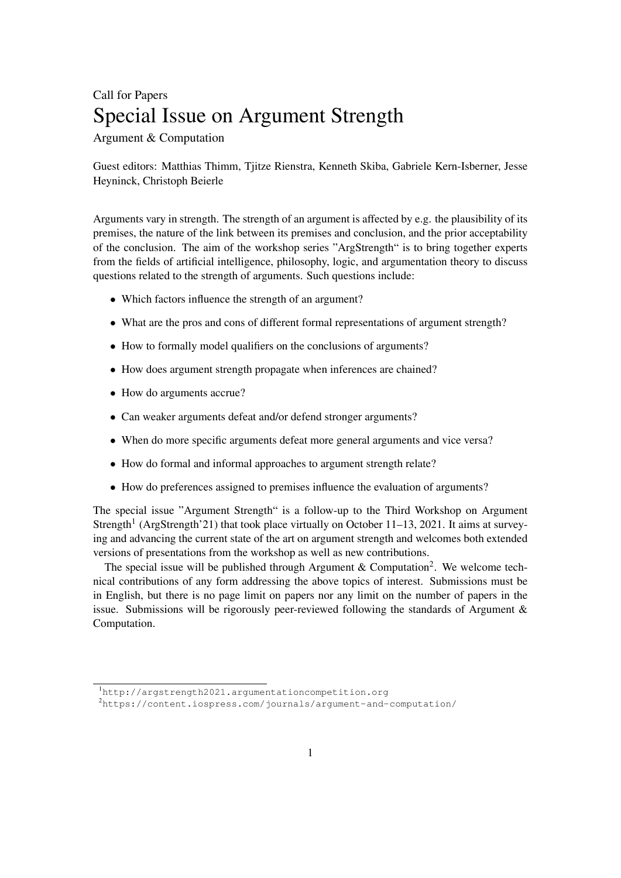## Call for Papers Special Issue on Argument Strength

Argument & Computation

Guest editors: Matthias Thimm, Tjitze Rienstra, Kenneth Skiba, Gabriele Kern-Isberner, Jesse Heyninck, Christoph Beierle

Arguments vary in strength. The strength of an argument is affected by e.g. the plausibility of its premises, the nature of the link between its premises and conclusion, and the prior acceptability of the conclusion. The aim of the workshop series "ArgStrength" is to bring together experts from the fields of artificial intelligence, philosophy, logic, and argumentation theory to discuss questions related to the strength of arguments. Such questions include:

- Which factors influence the strength of an argument?
- What are the pros and cons of different formal representations of argument strength?
- How to formally model qualifiers on the conclusions of arguments?
- *•* How does argument strength propagate when inferences are chained?
- How do arguments accrue?
- *•* Can weaker arguments defeat and/or defend stronger arguments?
- When do more specific arguments defeat more general arguments and vice versa?
- *•* How do formal and informal approaches to argument strength relate?
- *•* How do preferences assigned to premises influence the evaluation of arguments?

The special issue "Argument Strength" is a follow-up to the Third Workshop on Argument St[re](#page-0-0)ngth<sup>1</sup> (ArgStrength'21) that took place virtually on October 11–13, 2021. It aims at surveying and advancing the current state of the art on argument strength and welcomes both extended versions of presentations from the workshop as well as new contributions.

The special issue will be published through Argument & Computation<sup>2</sup>. We welcome technical contributions of any form addressing the above topics of interest. Submissions must be in English, but there is no page limit on papers nor any limit on the number of papers in the issue. Submissions will be rigorously peer-reviewed following the standards of Argument & Computation.

<span id="page-0-0"></span><sup>1</sup> <http://argstrength2021.argumentationcompetition.org>

<sup>2</sup> <https://content.iospress.com/journals/argument-and-computation/>